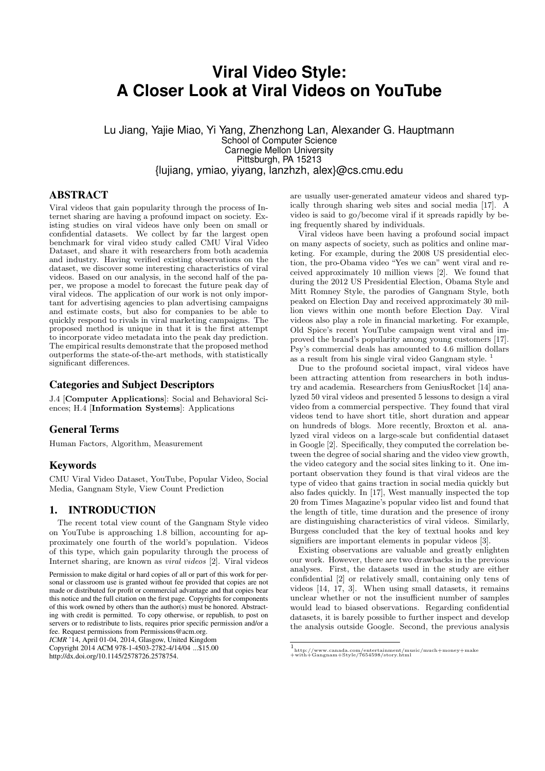# **Viral Video Style: A Closer Look at Viral Videos on YouTube**

Lu Jiang, Yajie Miao, Yi Yang, Zhenzhong Lan, Alexander G. Hauptmann School of Computer Science Carnegie Mellon University Pittsburgh, PA 15213 {lujiang, ymiao, yiyang, lanzhzh, alex}@cs.cmu.edu

# **ABSTRACT**

Viral videos that gain popularity through the process of Internet sharing are having a profound impact on society. Existing studies on viral videos have only been on small or confidential datasets. We collect by far the largest open benchmark for viral video study called CMU Viral Video Dataset, and share it with researchers from both academia and industry. Having verified existing observations on the dataset, we discover some interesting characteristics of viral videos. Based on our analysis, in the second half of the paper, we propose a model to forecast the future peak day of viral videos. The application of our work is not only important for advertising agencies to plan advertising campaigns and estimate costs, but also for companies to be able to quickly respond to rivals in viral marketing campaigns. The proposed method is unique in that it is the first attempt to incorporate video metadata into the peak day prediction. The empirical results demonstrate that the proposed method outperforms the state-of-the-art methods, with statistically significant differences.

#### **Categories and Subject Descriptors**

J.4 [Computer Applications]: Social and Behavioral Sciences; H.4 [Information Systems]: Applications

## **General Terms**

Human Factors, Algorithm, Measurement

#### **Keywords**

CMU Viral Video Dataset, YouTube, Popular Video, Social Media, Gangnam Style, View Count Prediction

## **1. INTRODUCTION**

The recent total view count of the Gangnam Style video on YouTube is approaching 1.8 billion, accounting for approximately one fourth of the world's population. Videos of this type, which gain popularity through the process of Internet sharing, are known as viral videos [2]. Viral videos

are usually user-generated amateur videos and shared typically through sharing web sites and social media [17]. A video is said to go/become viral if it spreads rapidly by being frequently shared by individuals.

Viral videos have been having a profound social impact on many aspects of society, such as politics and online marketing. For example, during the 2008 US presidential election, the pro-Obama video "Yes we can" went viral and received approximately 10 million views [2]. We found that during the 2012 US Presidential Election, Obama Style and Mitt Romney Style, the parodies of Gangnam Style, both peaked on Election Day and received approximately 30 million views within one month before Election Day. Viral videos also play a role in financial marketing. For example, Old Spice's recent YouTube campaign went viral and improved the brand's popularity among young customers [17]. Psy's commercial deals has amounted to 4.6 million dollars as a result from his single viral video Gangnam style.  $<sup>1</sup>$ </sup>

Due to the profound societal impact, viral videos have been attracting attention from researchers in both industry and academia. Researchers from GeniusRocket [14] analyzed 50 viral videos and presented 5 lessons to design a viral video from a commercial perspective. They found that viral videos tend to have short title, short duration and appear on hundreds of blogs. More recently, Broxton et al. analyzed viral videos on a large-scale but confidential dataset in Google [2]. Specifically, they computed the correlation between the degree of social sharing and the video view growth, the video category and the social sites linking to it. One important observation they found is that viral videos are the type of video that gains traction in social media quickly but also fades quickly. In [17], West manually inspected the top 20 from Times Magazine's popular video list and found that the length of title, time duration and the presence of irony are distinguishing characteristics of viral videos. Similarly, Burgess concluded that the key of textual hooks and key signifiers are important elements in popular videos [3].

Existing observations are valuable and greatly enlighten our work. However, there are two drawbacks in the previous analyses. First, the datasets used in the study are either confidential [2] or relatively small, containing only tens of videos [14, 17, 3]. When using small datasets, it remains unclear whether or not the insufficient number of samples would lead to biased observations. Regarding confidential datasets, it is barely possible to further inspect and develop the analysis outside Google. Second, the previous analysis

Permission to make digital or hard copies of all or part of this work for personal or classroom use is granted without fee provided that copies are not made or distributed for profit or commercial advantage and that copies bear this notice and the full citation on the first page. Copyrights for components of this work owned by others than the author(s) must be honored. Abstracting with credit is permitted. To copy otherwise, or republish, to post on servers or to redistribute to lists, requires prior specific permission and/or a fee. Request permissions from Permissions@acm.org. *ICMR* '14, April 01-04, 2014, Glasgow, United Kingdom

Copyright 2014 ACM 978-1-4503-2782-4/14/04 ...\$15.00 http://dx.doi.org/10.1145/2578726.2578754.

<sup>1</sup>http://www.canada.com/entertainment/music/much+money+make +with+Gangnam+Style/7654598/story.html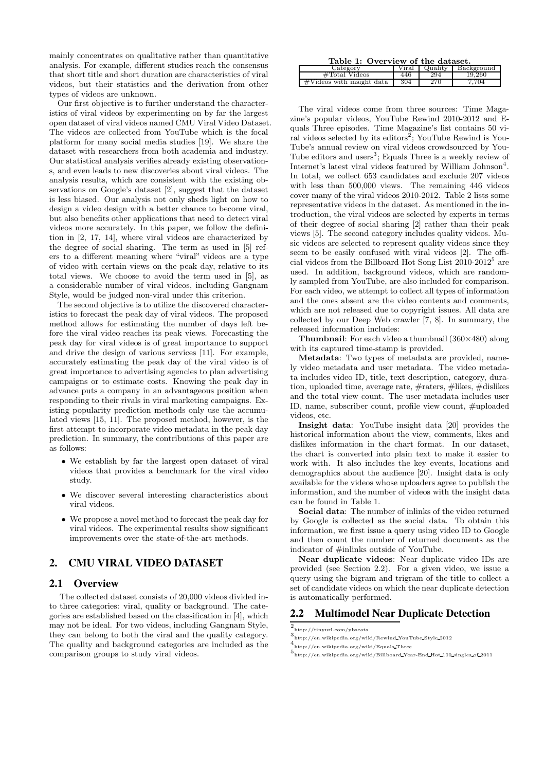mainly concentrates on qualitative rather than quantitative analysis. For example, different studies reach the consensus that short title and short duration are characteristics of viral videos, but their statistics and the derivation from other types of videos are unknown.

Our first objective is to further understand the characteristics of viral videos by experimenting on by far the largest open dataset of viral videos named CMU Viral Video Dataset. The videos are collected from YouTube which is the focal platform for many social media studies [19]. We share the dataset with researchers from both academia and industry. Our statistical analysis verifies already existing observations, and even leads to new discoveries about viral videos. The analysis results, which are consistent with the existing observations on Google's dataset [2], suggest that the dataset is less biased. Our analysis not only sheds light on how to design a video design with a better chance to become viral, but also benefits other applications that need to detect viral videos more accurately. In this paper, we follow the definition in [2, 17, 14], where viral videos are characterized by the degree of social sharing. The term as used in [5] refers to a different meaning where "viral" videos are a type of video with certain views on the peak day, relative to its total views. We choose to avoid the term used in [5], as a considerable number of viral videos, including Gangnam Style, would be judged non-viral under this criterion.

The second objective is to utilize the discovered characteristics to forecast the peak day of viral videos. The proposed method allows for estimating the number of days left before the viral video reaches its peak views. Forecasting the peak day for viral videos is of great importance to support and drive the design of various services [11]. For example, accurately estimating the peak day of the viral video is of great importance to advertising agencies to plan advertising campaigns or to estimate costs. Knowing the peak day in advance puts a company in an advantageous position when responding to their rivals in viral marketing campaigns. Existing popularity prediction methods only use the accumulated views [15, 11]. The proposed method, however, is the first attempt to incorporate video metadata in the peak day prediction. In summary, the contributions of this paper are as follows:

- We establish by far the largest open dataset of viral videos that provides a benchmark for the viral video study.
- We discover several interesting characteristics about viral videos.
- We propose a novel method to forecast the peak day for viral videos. The experimental results show significant improvements over the state-of-the-art methods.

## **2. CMU VIRAL VIDEO DATASET**

## **2.1 Overview**

The collected dataset consists of 20,000 videos divided into three categories: viral, quality or background. The categories are established based on the classification in [4], which may not be ideal. For two videos, including Gangnam Style, they can belong to both the viral and the quality category. The quality and background categories are included as the comparison groups to study viral videos.

| Table 1: Overview of the dataset. |  |  |  |  |
|-----------------------------------|--|--|--|--|
|                                   |  |  |  |  |

| Category                      | Viral | Ouality | Fackground |
|-------------------------------|-------|---------|------------|
| $\#\text{Total Video}$        | 446   | 294     | 19.260     |
| $\#$ Videos with insight data | 304   | 270.    | 704.       |

The viral videos come from three sources: Time Magazine's popular videos, YouTube Rewind 2010-2012 and Equals Three episodes. Time Magazine's list contains 50 viral videos selected by its editors<sup>2</sup>; YouTube Rewind is You-Tube's annual review on viral videos crowdsourced by You-Tube editors and users<sup>3</sup>; Equals Three is a weekly review of Internet's latest viral videos featured by William Johnson<sup>4</sup>. In total, we collect 653 candidates and exclude 207 videos with less than 500,000 views. The remaining 446 videos cover many of the viral videos 2010-2012. Table 2 lists some representative videos in the dataset. As mentioned in the introduction, the viral videos are selected by experts in terms of their degree of social sharing [2] rather than their peak views [5]. The second category includes quality videos. Music videos are selected to represent quality videos since they seem to be easily confused with viral videos [2]. The official videos from the Billboard Hot Song List  $2010-2012^5$  are used. In addition, background videos, which are randomly sampled from YouTube, are also included for comparison. For each video, we attempt to collect all types of information and the ones absent are the video contents and comments, which are not released due to copyright issues. All data are collected by our Deep Web crawler [7, 8]. In summary, the released information includes:

**Thumbnail:** For each video a thumbnail  $(360 \times 480)$  along with its captured time-stamp is provided.

Metadata: Two types of metadata are provided, namely video metadata and user metadata. The video metadata includes video ID, title, text description, category, duration, uploaded time, average rate, #raters, #likes, #dislikes and the total view count. The user metadata includes user ID, name, subscriber count, profile view count, #uploaded videos, etc.

Insight data: YouTube insight data [20] provides the historical information about the view, comments, likes and dislikes information in the chart format. In our dataset, the chart is converted into plain text to make it easier to work with. It also includes the key events, locations and demographics about the audience [20]. Insight data is only available for the videos whose uploaders agree to publish the information, and the number of videos with the insight data can be found in Table 1.

Social data: The number of inlinks of the video returned by Google is collected as the social data. To obtain this information, we first issue a query using video ID to Google and then count the number of returned documents as the indicator of #inlinks outside of YouTube.

Near duplicate videos: Near duplicate video IDs are provided (see Section 2.2). For a given video, we issue a query using the bigram and trigram of the title to collect a set of candidate videos on which the near duplicate detection is automatically performed.

## **2.2 Multimodel Near Duplicate Detection**

<sup>2</sup>http://tinyurl.com/ybseots

http://en.wikipedia.org/wiki/Rewind\_YouTube\_Style\_2012

<sup>4</sup>http://en.wikipedia.org/wiki/Equals Three

 $5$ http://en.wikipedia.org/wiki/Billboard Year-End Hot 100 singles of 2011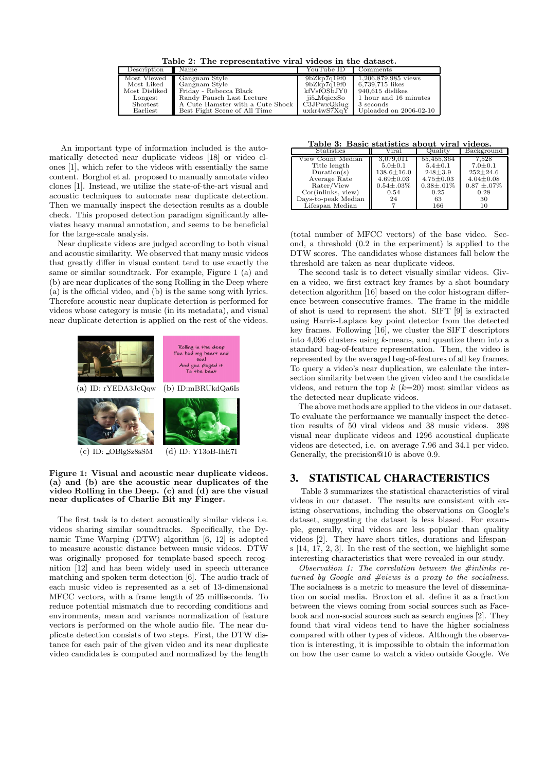Table 2: The representative viral videos in the dataset.

| Description   | l Name                           | YouTube ID  | Comments                 |
|---------------|----------------------------------|-------------|--------------------------|
| Most Viewed   | Gangnam Style                    | 9bZkp7q19f0 | 1,206,879,985 views      |
| Most Liked    | Gangnam Style                    | 9bZkp7q19f0 | 6.739.715 likes          |
| Most Disliked | Friday - Rebecca Black           | kfVsfOSbJY0 | $940.615$ dislikes       |
| Longest       | Randy Pausch Last Lecture        | ji5 MgicxSo | 1 hour and 16 minutes    |
| Shortest      | A Cute Hamster with a Cute Shock | C3JPwxQkiiq | 3 seconds                |
| Earliest      | Best Fight Scene of All Time     | uxkr4wSZXaY | Uploaded on $2006-02-10$ |

An important type of information included is the automatically detected near duplicate videos [18] or video clones [1], which refer to the videos with essentially the same content. Borghol et al. proposed to manually annotate video clones [1]. Instead, we utilize the state-of-the-art visual and acoustic techniques to automate near duplicate detection. Then we manually inspect the detection results as a double check. This proposed detection paradigm significantly alleviates heavy manual annotation, and seems to be beneficial for the large-scale analysis.

Near duplicate videos are judged according to both visual and acoustic similarity. We observed that many music videos that greatly differ in visual content tend to use exactly the same or similar soundtrack. For example, Figure 1 (a) and (b) are near duplicates of the song Rolling in the Deep where (a) is the official video, and (b) is the same song with lyrics. Therefore acoustic near duplicate detection is performed for videos whose category is music (in its metadata), and visual near duplicate detection is applied on the rest of the videos.



Figure 1: Visual and acoustic near duplicate videos. (a) and (b) are the acoustic near duplicates of the video Rolling in the Deep. (c) and (d) are the visual near duplicates of Charlie Bit my Finger.

The first task is to detect acoustically similar videos i.e. videos sharing similar soundtracks. Specifically, the Dynamic Time Warping (DTW) algorithm [6, 12] is adopted to measure acoustic distance between music videos. DTW was originally proposed for template-based speech recognition [12] and has been widely used in speech utterance matching and spoken term detection [6]. The audio track of each music video is represented as a set of 13-dimensional MFCC vectors, with a frame length of 25 milliseconds. To reduce potential mismatch due to recording conditions and environments, mean and variance normalization of feature vectors is performed on the whole audio file. The near duplicate detection consists of two steps. First, the DTW distance for each pair of the given video and its near duplicate video candidates is computed and normalized by the length

### Table 3: Basic statistics about viral videos.

| Statistics           | Viral            | Quality           | Background        |
|----------------------|------------------|-------------------|-------------------|
| View Count Median    | 3.079.011        | 55.455.364        | 7.528             |
| Title length         | $5.0 \pm 0.1$    | $5.4 \pm 0.1$     | $7.0 \pm 0.1$     |
| $\text{Duration}(s)$ | $138.6 \pm 16.0$ | $248 + 3.9$       | $252 \pm 24.6$    |
| Average Rate         | $4.69 \pm 0.03$  | $4.75 \pm 0.03$   | $4.04 \pm 0.08$   |
| Rater/View           | $0.54 \pm .03\%$ | $0.38 \pm 0.01\%$ | $0.87 \pm 0.07\%$ |
| Cor(inlinks, view)   | 0.54             | 0.25              | 0.28              |
| Days-to-peak Median  | 24               | 63                | 30                |
| Lifespan Median      |                  | 166               | 10                |

(total number of MFCC vectors) of the base video. Second, a threshold (0.2 in the experiment) is applied to the DTW scores. The candidates whose distances fall below the threshold are taken as near duplicate videos.

The second task is to detect visually similar videos. Given a video, we first extract key frames by a shot boundary detection algorithm [16] based on the color histogram difference between consecutive frames. The frame in the middle of shot is used to represent the shot. SIFT [9] is extracted using Harris-Laplace key point detector from the detected key frames. Following [16], we cluster the SIFT descriptors into  $4,096$  clusters using  $k$ -means, and quantize them into a standard bag-of-feature representation. Then, the video is represented by the averaged bag-of-features of all key frames. To query a video's near duplication, we calculate the intersection similarity between the given video and the candidate videos, and return the top  $k$  ( $k=20$ ) most similar videos as the detected near duplicate videos.

The above methods are applied to the videos in our dataset. To evaluate the performance we manually inspect the detection results of 50 viral videos and 38 music videos. 398 visual near duplicate videos and 1296 acoustical duplicate videos are detected, i.e. on average 7.96 and 34.1 per video. Generally, the precision@10 is above 0.9.

## **3. STATISTICAL CHARACTERISTICS**

Table 3 summarizes the statistical characteristics of viral videos in our dataset. The results are consistent with existing observations, including the observations on Google's dataset, suggesting the dataset is less biased. For example, generally, viral videos are less popular than quality videos [2]. They have short titles, durations and lifespans [14, 17, 2, 3]. In the rest of the section, we highlight some interesting characteristics that were revealed in our study.

Observation 1: The correlation between the  $\#inlinks$  returned by Google and #views is a proxy to the socialness. The socialness is a metric to measure the level of dissemination on social media. Broxton et al. define it as a fraction between the views coming from social sources such as Facebook and non-social sources such as search engines [2]. They found that viral videos tend to have the higher socialness compared with other types of videos. Although the observation is interesting, it is impossible to obtain the information on how the user came to watch a video outside Google. We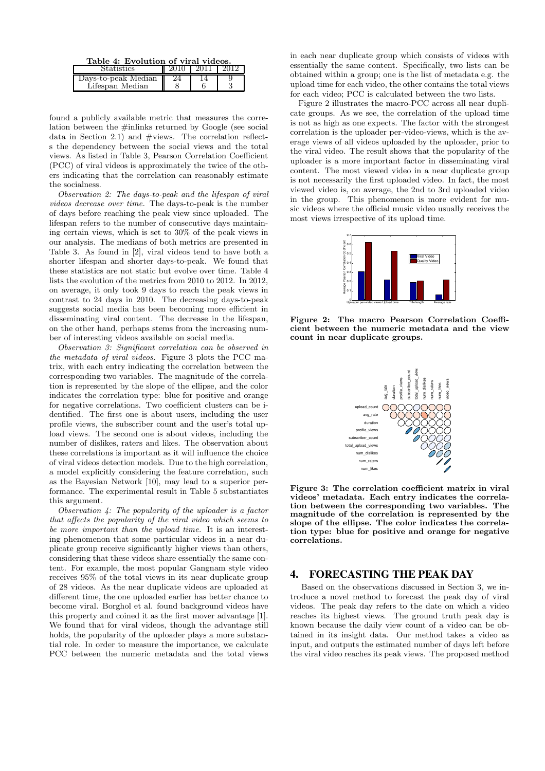| Table 4: Evolution of viral videos. |                    |  |
|-------------------------------------|--------------------|--|
| <b>Statistics</b>                   | 2010   2011   2012 |  |
| Days-to-peak Median                 | 24                 |  |
| Lifespan Median                     |                    |  |

Lifespan Median

found a publicly available metric that measures the correlation between the #inlinks returned by Google (see social data in Section 2.1) and #views. The correlation reflects the dependency between the social views and the total views. As listed in Table 3, Pearson Correlation Coefficient (PCC) of viral videos is approximately the twice of the others indicating that the correlation can reasonably estimate the socialness.

Observation 2: The days-to-peak and the lifespan of viral videos decrease over time. The days-to-peak is the number of days before reaching the peak view since uploaded. The lifespan refers to the number of consecutive days maintaining certain views, which is set to 30% of the peak views in our analysis. The medians of both metrics are presented in Table 3. As found in [2], viral videos tend to have both a shorter lifespan and shorter days-to-peak. We found that these statistics are not static but evolve over time. Table 4 lists the evolution of the metrics from 2010 to 2012. In 2012, on average, it only took 9 days to reach the peak views in contrast to 24 days in 2010. The decreasing days-to-peak suggests social media has been becoming more efficient in disseminating viral content. The decrease in the lifespan, on the other hand, perhaps stems from the increasing number of interesting videos available on social media.

Observation 3: Significant correlation can be observed in the metadata of viral videos. Figure 3 plots the PCC matrix, with each entry indicating the correlation between the corresponding two variables. The magnitude of the correlation is represented by the slope of the ellipse, and the color indicates the correlation type: blue for positive and orange for negative correlations. Two coefficient clusters can be identified. The first one is about users, including the user profile views, the subscriber count and the user's total upload views. The second one is about videos, including the number of dislikes, raters and likes. The observation about these correlations is important as it will influence the choice of viral videos detection models. Due to the high correlation, a model explicitly considering the feature correlation, such as the Bayesian Network [10], may lead to a superior performance. The experimental result in Table 5 substantiates this argument.

Observation 4: The popularity of the uploader is a factor that affects the popularity of the viral video which seems to be more important than the upload time. It is an interesting phenomenon that some particular videos in a near duplicate group receive significantly higher views than others, considering that these videos share essentially the same content. For example, the most popular Gangnam style video receives 95% of the total views in its near duplicate group of 28 videos. As the near duplicate videos are uploaded at different time, the one uploaded earlier has better chance to become viral. Borghol et al. found background videos have this property and coined it as the first mover advantage [1]. We found that for viral videos, though the advantage still holds, the popularity of the uploader plays a more substantial role. In order to measure the importance, we calculate PCC between the numeric metadata and the total views

in each near duplicate group which consists of videos with essentially the same content. Specifically, two lists can be obtained within a group; one is the list of metadata e.g. the upload time for each video, the other contains the total views for each video; PCC is calculated between the two lists.

Figure 2 illustrates the macro-PCC across all near duplicate groups. As we see, the correlation of the upload time is not as high as one expects. The factor with the strongest correlation is the uploader per-video-views, which is the average views of all videos uploaded by the uploader, prior to the viral video. The result shows that the popularity of the uploader is a more important factor in disseminating viral content. The most viewed video in a near duplicate group is not necessarily the first uploaded video. In fact, the most viewed video is, on average, the 2nd to 3rd uploaded video in the group. This phenomenon is more evident for music videos where the official music video usually receives the most views irrespective of its upload time.



Figure 2: The macro Pearson Correlation Coefficient between the numeric metadata and the view count in near duplicate groups.



Figure 3: The correlation coefficient matrix in viral videos' metadata. Each entry indicates the correlation between the corresponding two variables. The magnitude of the correlation is represented by the slope of the ellipse. The color indicates the correlation type: blue for positive and orange for negative correlations.

## **4. FORECASTING THE PEAK DAY**

Based on the observations discussed in Section 3, we introduce a novel method to forecast the peak day of viral videos. The peak day refers to the date on which a video reaches its highest views. The ground truth peak day is known because the daily view count of a video can be obtained in its insight data. Our method takes a video as input, and outputs the estimated number of days left before the viral video reaches its peak views. The proposed method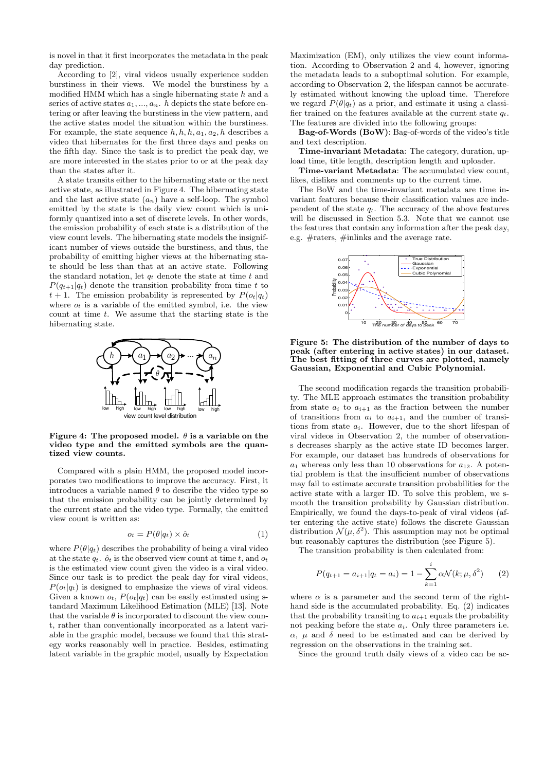is novel in that it first incorporates the metadata in the peak day prediction.

According to [2], viral videos usually experience sudden burstiness in their views. We model the burstiness by a modified HMM which has a single hibernating state  $h$  and a series of active states  $a_1, ..., a_n$ . h depicts the state before entering or after leaving the burstiness in the view pattern, and the active states model the situation within the burstiness. For example, the state sequence  $h, h, h, a_1, a_2, h$  describes a video that hibernates for the first three days and peaks on the fifth day. Since the task is to predict the peak day, we are more interested in the states prior to or at the peak day than the states after it.

A state transits either to the hibernating state or the next active state, as illustrated in Figure 4. The hibernating state and the last active state  $(a_n)$  have a self-loop. The symbol emitted by the state is the daily view count which is uniformly quantized into a set of discrete levels. In other words, the emission probability of each state is a distribution of the view count levels. The hibernating state models the insignificant number of views outside the burstiness, and thus, the probability of emitting higher views at the hibernating state should be less than that at an active state. Following the standard notation, let  $q_t$  denote the state at time t and  $P(q_{t+1}|q_t)$  denote the transition probability from time t to  $t + 1$ . The emission probability is represented by  $P(o_t|q_t)$ where  $o_t$  is a variable of the emitted symbol, i.e. the view count at time t. We assume that the starting state is the hibernating state.



Figure 4: The proposed model.  $\theta$  is a variable on the video type and the emitted symbols are the quantized view counts.

Compared with a plain HMM, the proposed model incorporates two modifications to improve the accuracy. First, it introduces a variable named  $\theta$  to describe the video type so that the emission probability can be jointly determined by the current state and the video type. Formally, the emitted view count is written as:

$$
o_t = P(\theta | q_t) \times \hat{o}_t \tag{1}
$$

where  $P(\theta|q_t)$  describes the probability of being a viral video at the state  $q_t$ .  $\hat{o}_t$  is the observed view count at time t, and  $o_t$ is the estimated view count given the video is a viral video. Since our task is to predict the peak day for viral videos,  $P(o_t|q_t)$  is designed to emphasize the views of viral videos. Given a known  $o_t$ ,  $P(o_t|q_t)$  can be easily estimated using standard Maximum Likelihood Estimation (MLE) [13]. Note that the variable  $\theta$  is incorporated to discount the view count, rather than conventionally incorporated as a latent variable in the graphic model, because we found that this strategy works reasonably well in practice. Besides, estimating latent variable in the graphic model, usually by Expectation

Maximization (EM), only utilizes the view count information. According to Observation 2 and 4, however, ignoring the metadata leads to a suboptimal solution. For example, according to Observation 2, the lifespan cannot be accurately estimated without knowing the upload time. Therefore we regard  $P(\theta|q_t)$  as a prior, and estimate it using a classifier trained on the features available at the current state  $q_t$ . The features are divided into the following groups:

Bag-of-Words (BoW): Bag-of-words of the video's title and text description.

Time-invariant Metadata: The category, duration, upload time, title length, description length and uploader.

Time-variant Metadata: The accumulated view count, likes, dislikes and comments up to the current time.

The BoW and the time-invariant metadata are time invariant features because their classification values are independent of the state  $q_t$ . The accuracy of the above features will be discussed in Section 5.3. Note that we cannot use the features that contain any information after the peak day, e.g. #raters, #inlinks and the average rate.



Figure 5: The distribution of the number of days to peak (after entering in active states) in our dataset. The best fitting of three curves are plotted, namely Gaussian, Exponential and Cubic Polynomial.

The second modification regards the transition probability. The MLE approach estimates the transition probability from state  $a_i$  to  $a_{i+1}$  as the fraction between the number of transitions from  $a_i$  to  $a_{i+1}$ , and the number of transitions from state  $a_i$ . However, due to the short lifespan of viral videos in Observation 2, the number of observations decreases sharply as the active state ID becomes larger. For example, our dataset has hundreds of observations for  $a_1$  whereas only less than 10 observations for  $a_{12}$ . A potential problem is that the insufficient number of observations may fail to estimate accurate transition probabilities for the active state with a larger ID. To solve this problem, we smooth the transition probability by Gaussian distribution. Empirically, we found the days-to-peak of viral videos (after entering the active state) follows the discrete Gaussian distribution  $\mathcal{N}(\mu, \delta^2)$ . This assumption may not be optimal but reasonably captures the distribution (see Figure 5).

The transition probability is then calculated from:

$$
P(q_{t+1} = a_{i+1}|q_t = a_i) = 1 - \sum_{k=1}^{i} \alpha \mathcal{N}(k; \mu, \delta^2)
$$
 (2)

where  $\alpha$  is a parameter and the second term of the righthand side is the accumulated probability. Eq. (2) indicates that the probability transiting to  $a_{i+1}$  equals the probability not peaking before the state  $a_i$ . Only three parameters i.e.  $\alpha$ ,  $\mu$  and  $\delta$  need to be estimated and can be derived by regression on the observations in the training set.

Since the ground truth daily views of a video can be ac-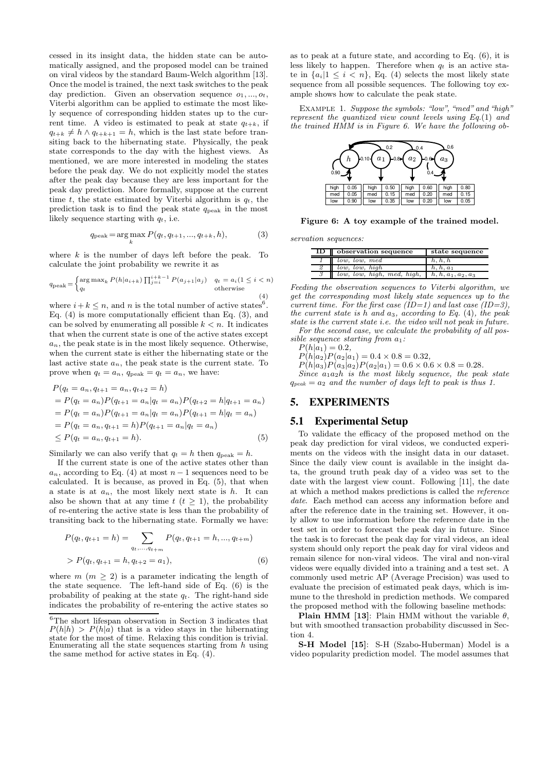cessed in its insight data, the hidden state can be automatically assigned, and the proposed model can be trained on viral videos by the standard Baum-Welch algorithm [13]. Once the model is trained, the next task switches to the peak day prediction. Given an observation sequence  $o_1, ..., o_t$ , Viterbi algorithm can be applied to estimate the most likely sequence of corresponding hidden states up to the current time. A video is estimated to peak at state  $q_{t+k}$ , if  $q_{t+k} \neq h \wedge q_{t+k+1} = h$ , which is the last state before transiting back to the hibernating state. Physically, the peak state corresponds to the day with the highest views. As mentioned, we are more interested in modeling the states before the peak day. We do not explicitly model the states after the peak day because they are less important for the peak day prediction. More formally, suppose at the current time t, the state estimated by Viterbi algorithm is  $q_t$ , the prediction task is to find the peak state  $q_{\text{peak}}$  in the most likely sequence starting with  $q_t$ , i.e.

$$
q_{\text{peak}} = \underset{k}{\arg\max} P(q_t, q_{t+1}, ..., q_{t+k}, h), \tag{3}
$$

where  $k$  is the number of days left before the peak. To calculate the joint probability we rewrite it as

$$
q_{\text{peak}} = \begin{cases} \arg \max_{k} P(h|a_{i+k}) \prod_{j=i}^{i+k-1} P(a_{j+1}|a_j) & q_t = a_i (1 \le i < n) \\ q_t & \text{otherwise} \end{cases}
$$
(4)

where  $i + k \leq n$ , and n is the total number of active states<sup>6</sup>. Eq. (4) is more computationally efficient than Eq. (3), and can be solved by enumerating all possible  $k < n$ . It indicates that when the current state is one of the active states except  $a_n$ , the peak state is in the most likely sequence. Otherwise, when the current state is either the hibernating state or the last active state  $a_n$ , the peak state is the current state. To prove when  $q_t = a_n$ ,  $q_{\text{peak}} = q_t = a_n$ , we have:

$$
P(q_t = a_n, q_{t+1} = a_n, q_{t+2} = h)
$$
  
=  $P(q_t = a_n)P(q_{t+1} = a_n|q_t = a_n)P(q_{t+2} = h|q_{t+1} = a_n)$   
=  $P(q_t = a_n)P(q_{t+1} = a_n|q_t = a_n)P(q_{t+1} = h|q_t = a_n)$   
=  $P(q_t = a_n, q_{t+1} = h)P(q_{t+1} = a_n|q_t = a_n)$   
 $\leq P(q_t = a_n, q_{t+1} = h).$  (5)

Similarly we can also verify that  $q_t = h$  then  $q_{\text{peak}} = h$ .

If the current state is one of the active states other than  $a_n$ , according to Eq. (4) at most  $n-1$  sequences need to be calculated. It is because, as proved in Eq. (5), that when a state is at  $a_n$ , the most likely next state is h. It can also be shown that at any time  $t (t > 1)$ , the probability of re-entering the active state is less than the probability of transiting back to the hibernating state. Formally we have:

$$
P(q_t, q_{t+1} = h) = \sum_{q_t, \dots, q_{t+m}} P(q_t, q_{t+1} = h, \dots, q_{t+m})
$$
  
> 
$$
P(q_t, q_{t+1} = h, q_{t+2} = a_1),
$$
 (6)

where  $m (m \geq 2)$  is a parameter indicating the length of the state sequence. The left-hand side of Eq. (6) is the probability of peaking at the state  $q_t$ . The right-hand side indicates the probability of re-entering the active states so

as to peak at a future state, and according to Eq. (6), it is less likely to happen. Therefore when  $q_t$  is an active state in  $\{a_i | 1 \leq i \leq n\}$ , Eq. (4) selects the most likely state sequence from all possible sequences. The following toy example shows how to calculate the peak state.

EXAMPLE 1. Suppose the symbols: "low", "med" and "high" represent the quantized view count levels using Eq.(1) and the trained HMM is in Figure 6. We have the following ob-



Figure 6: A toy example of the trained model.

servation sequences:

| <b>ID</b> observation sequence                           | state sequence |
|----------------------------------------------------------|----------------|
| 1 <i>low</i> , <i>low</i> , med                          | h, h, h        |
| $2 \quad low, low, high$                                 | $h, h, a_1$    |
| 3 $low, low, high, med, high, \, \, h, h, a_1, a_2, a_3$ |                |

Feeding the observation sequences to Viterbi algorithm, we get the corresponding most likely state sequences up to the current time. For the first case (ID=1) and last case (ID=3), the current state is h and  $a_3$ , according to Eq. (4), the peak state is the current state i.e. the video will not peak in future.

For the second case, we calculate the probability of all possible sequence starting from  $a_1$ :

 $P(h|a_1)=0.2$ ,

 $P(h|a_2)P(a_2|a_1)=0.4 \times 0.8=0.32,$  $P(h|a_3)P(a_3|a_2)P(a_2|a_1)=0.6 \times 0.6 \times 0.8=0.28.$ 

Since  $a_1a_2h$  is the most likely sequence, the peak state  $q_{peak} = a_2$  and the number of days left to peak is thus 1.

#### **5. EXPERIMENTS**

### **5.1 Experimental Setup**

To validate the efficacy of the proposed method on the peak day prediction for viral videos, we conducted experiments on the videos with the insight data in our dataset. Since the daily view count is available in the insight data, the ground truth peak day of a video was set to the date with the largest view count. Following [11], the date at which a method makes predictions is called the reference date. Each method can access any information before and after the reference date in the training set. However, it only allow to use information before the reference date in the test set in order to forecast the peak day in future. Since the task is to forecast the peak day for viral videos, an ideal system should only report the peak day for viral videos and remain silence for non-viral videos. The viral and non-viral videos were equally divided into a training and a test set. A commonly used metric AP (Average Precision) was used to evaluate the precision of estimated peak days, which is immune to the threshold in prediction methods. We compared the proposed method with the following baseline methods:

**Plain HMM [13]:** Plain HMM without the variable  $\theta$ , but with smoothed transaction probability discussed in Section 4.

S-H Model [15]: S-H (Szabo-Huberman) Model is a video popularity prediction model. The model assumes that

 $^6\mathrm{The}$  short lifespan observation in Section 3 indicates that  $P(h|h) > P(h|a)$  that is a video stays in the hibernating state for the most of time. Relaxing this condition is trivial. Enumerating all the state sequences starting from  $h$  using the same method for active states in Eq. (4).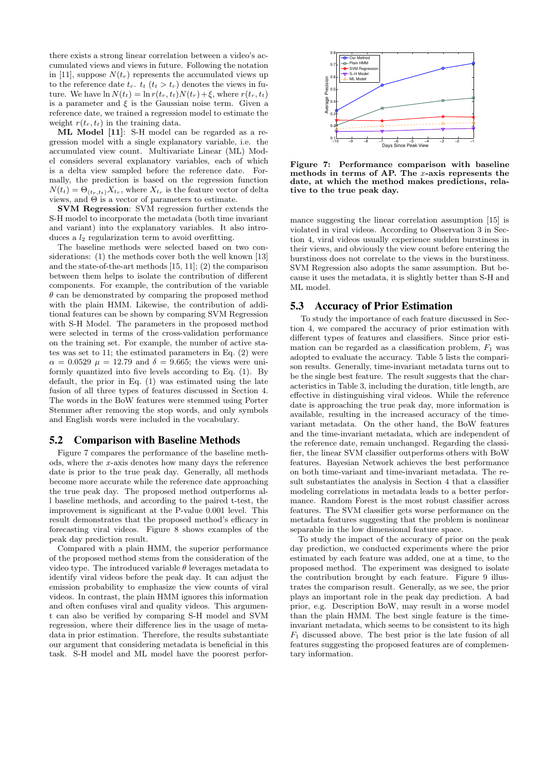there exists a strong linear correlation between a video's accumulated views and views in future. Following the notation in [11], suppose  $N(t_r)$  represents the accumulated views up to the reference date  $t_r$ .  $t_t$   $(t_t > t_r)$  denotes the views in future. We have  $\ln N(t_t) = \ln r(t_r, t_t)N(t_r) + \xi$ , where  $r(t_r, t_t)$ is a parameter and  $\xi$  is the Gaussian noise term. Given a reference date, we trained a regression model to estimate the weight  $r(t_r, t_t)$  in the training data.

ML Model [11]: S-H model can be regarded as a regression model with a single explanatory variable, i.e. the accumulated view count. Multivariate Linear (ML) Model considers several explanatory variables, each of which is a delta view sampled before the reference date. Formally, the prediction is based on the regression function  $N(t_t) = \Theta_{(t_r,t_t)} X_{t_r}$ , where  $X_{t_r}$  is the feature vector of delta views, and  $\Theta$  is a vector of parameters to estimate.

SVM Regression: SVM regression further extends the S-H model to incorporate the metadata (both time invariant and variant) into the explanatory variables. It also introduces a  $l_2$  regularization term to avoid overfitting.

The baseline methods were selected based on two considerations: (1) the methods cover both the well known [13] and the state-of-the-art methods [15, 11]; (2) the comparison between them helps to isolate the contribution of different components. For example, the contribution of the variable  $\theta$  can be demonstrated by comparing the proposed method with the plain HMM. Likewise, the contribution of additional features can be shown by comparing SVM Regression with S-H Model. The parameters in the proposed method were selected in terms of the cross-validation performance on the training set. For example, the number of active states was set to 11; the estimated parameters in Eq. (2) were  $\alpha = 0.0529$   $\mu = 12.79$  and  $\delta = 9.665$ ; the views were uniformly quantized into five levels according to Eq. (1). By default, the prior in Eq. (1) was estimated using the late fusion of all three types of features discussed in Section 4. The words in the BoW features were stemmed using Porter Stemmer after removing the stop words, and only symbols and English words were included in the vocabulary.

## **5.2 Comparison with Baseline Methods**

Figure 7 compares the performance of the baseline methods, where the x-axis denotes how many days the reference date is prior to the true peak day. Generally, all methods become more accurate while the reference date approaching the true peak day. The proposed method outperforms all baseline methods, and according to the paired t-test, the improvement is significant at the P-value 0.001 level. This result demonstrates that the proposed method's efficacy in forecasting viral videos. Figure 8 shows examples of the peak day prediction result.

Compared with a plain HMM, the superior performance of the proposed method stems from the consideration of the video type. The introduced variable  $\theta$  leverages metadata to identify viral videos before the peak day. It can adjust the emission probability to emphasize the view counts of viral videos. In contrast, the plain HMM ignores this information and often confuses viral and quality videos. This argument can also be verified by comparing S-H model and SVM regression, where their difference lies in the usage of metadata in prior estimation. Therefore, the results substantiate our argument that considering metadata is beneficial in this task. S-H model and ML model have the poorest perfor-



Figure 7: Performance comparison with baseline methods in terms of AP. The  $x$ -axis represents the date, at which the method makes predictions, relative to the true peak day.

mance suggesting the linear correlation assumption [15] is violated in viral videos. According to Observation 3 in Section 4, viral videos usually experience sudden burstiness in their views, and obviously the view count before entering the burstiness does not correlate to the views in the burstiness. SVM Regression also adopts the same assumption. But because it uses the metadata, it is slightly better than S-H and ML model.

## **5.3 Accuracy of Prior Estimation**

To study the importance of each feature discussed in Section 4, we compared the accuracy of prior estimation with different types of features and classifiers. Since prior estimation can be regarded as a classification problem,  $F_1$  was adopted to evaluate the accuracy. Table 5 lists the comparison results. Generally, time-invariant metadata turns out to be the single best feature. The result suggests that the characteristics in Table 3, including the duration, title length, are effective in distinguishing viral videos. While the reference date is approaching the true peak day, more information is available, resulting in the increased accuracy of the timevariant metadata. On the other hand, the BoW features and the time-invariant metadata, which are independent of the reference date, remain unchanged. Regarding the classifier, the linear SVM classifier outperforms others with BoW features. Bayesian Network achieves the best performance on both time-variant and time-invariant metadata. The result substantiates the analysis in Section 4 that a classifier modeling correlations in metadata leads to a better performance. Random Forest is the most robust classifier across features. The SVM classifier gets worse performance on the metadata features suggesting that the problem is nonlinear separable in the low dimensional feature space.

To study the impact of the accuracy of prior on the peak day prediction, we conducted experiments where the prior estimated by each feature was added, one at a time, to the proposed method. The experiment was designed to isolate the contribution brought by each feature. Figure 9 illustrates the comparison result. Generally, as we see, the prior plays an important role in the peak day prediction. A bad prior, e.g. Description BoW, may result in a worse model than the plain HMM. The best single feature is the timeinvariant metadata, which seems to be consistent to its high  $F_1$  discussed above. The best prior is the late fusion of all features suggesting the proposed features are of complementary information.